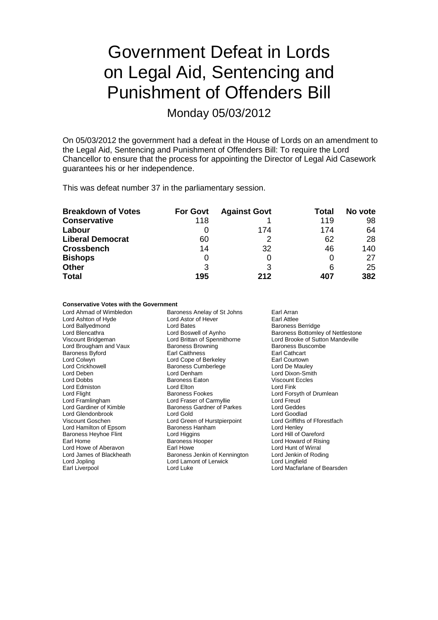# Government Defeat in Lords on Legal Aid, Sentencing and Punishment of Offenders Bill

Monday 05/03/2012

On 05/03/2012 the government had a defeat in the House of Lords on an amendment to the Legal Aid, Sentencing and Punishment of Offenders Bill: To require the Lord Chancellor to ensure that the process for appointing the Director of Legal Aid Casework guarantees his or her independence.

This was defeat number 37 in the parliamentary session.

| <b>Breakdown of Votes</b> | <b>For Govt</b> | <b>Against Govt</b> | Total | No vote |
|---------------------------|-----------------|---------------------|-------|---------|
| <b>Conservative</b>       | 118             |                     | 119   | 98      |
| Labour                    | 0               | 174                 | 174   | 64      |
| <b>Liberal Democrat</b>   | 60              |                     | 62    | 28      |
| <b>Crossbench</b>         | 14              | 32                  | 46    | 140     |
| <b>Bishops</b>            | 0               |                     |       | 27      |
| <b>Other</b>              | 3               | 3                   | 6     | 25      |
| <b>Total</b>              | 195             | 212                 | 407   | 382     |

### **Conservative Votes with the Government**

| Lord Ahmad of Wimbledon      | Baroness Anelay of St Johns   | Earl Arran                               |
|------------------------------|-------------------------------|------------------------------------------|
| Lord Ashton of Hyde          | Lord Astor of Hever           | Earl Attlee                              |
| Lord Ballyedmond             | Lord Bates                    | <b>Baroness Berridge</b>                 |
| Lord Blencathra              | Lord Boswell of Aynho         | <b>Baroness Bottomley of Nettlestone</b> |
| Viscount Bridgeman           | Lord Brittan of Spennithorne  | Lord Brooke of Sutton Mandeville         |
| Lord Brougham and Vaux       | <b>Baroness Browning</b>      | Baroness Buscombe                        |
| <b>Baroness Byford</b>       | <b>Earl Caithness</b>         | Earl Cathcart                            |
| Lord Colwyn                  | Lord Cope of Berkeley         | Earl Courtown                            |
| <b>Lord Crickhowell</b>      | <b>Baroness Cumberlege</b>    | Lord De Mauley                           |
| Lord Deben                   | Lord Denham                   | Lord Dixon-Smith                         |
| Lord Dobbs                   | Baroness Eaton                | <b>Viscount Eccles</b>                   |
| Lord Edmiston                | Lord Elton                    | Lord Fink                                |
| Lord Flight                  | <b>Baroness Fookes</b>        | Lord Forsyth of Drumlean                 |
| Lord Framlingham             | Lord Fraser of Carmyllie      | Lord Freud                               |
| Lord Gardiner of Kimble      | Baroness Gardner of Parkes    | Lord Geddes                              |
| Lord Glendonbrook            | Lord Gold                     | Lord Goodlad                             |
| Viscount Goschen             | Lord Green of Hurstpierpoint  | Lord Griffiths of Fforestfach            |
| Lord Hamilton of Epsom       | <b>Baroness Hanham</b>        | Lord Henley                              |
| <b>Baroness Heyhoe Flint</b> | Lord Higgins                  | Lord Hill of Oareford                    |
| Earl Home                    | <b>Baroness Hooper</b>        | Lord Howard of Rising                    |
| Lord Howe of Aberavon        | Earl Howe                     | Lord Hunt of Wirral                      |
| Lord James of Blackheath     | Baroness Jenkin of Kennington | Lord Jenkin of Roding                    |
| Lord Jopling                 | Lord Lamont of Lerwick        | Lord Lingfield                           |
| Earl Liverpool               | Lord Luke                     | Lord Macfarlane of Bearsden              |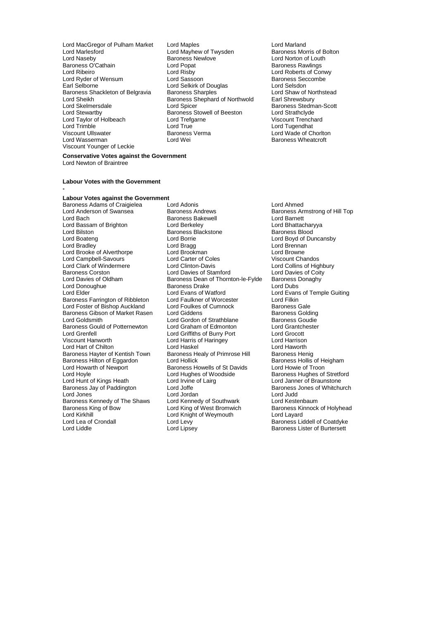- Lord MacGregor of Pulham Market Lord Maples Lord Marland Lord Naseby Baroness Newlove Lord Norton of Louth Baroness O'Cathain Lord Popat Baroness Rawlings Lord Ribeiro Lord Risby Lord Roberts of Conwy Lord Ryder of Wensum Lord Sassoon Cord Sassoon<br>
Lord Selverness Security Cord Selvich Cord Selvich Cord Selverness Sec Baroness Shackleton of Belgravia Baroness Sharples **Baroness Sharples** Lord Shaw of Northstead Lord Shaw of Northstead Lord Shaw of Northwold Earl Shrewsbury Lord Sheikh Baroness Shephard of Northwold<br>
Lord Skelmersdale<br>
Lord Shrewsbury Baroness Shephard of Northwold Lord Stewartby Baroness Stowell of Beeston Lord Strathclyde Lord Taylor of Holbeach Lord Trefgarne Viscount Trenchard Lord Trimble Lord True Lord Tugendhat Viscount Ullswater **Baroness Verma** Lord Wade of Chorlton Lord Wade of Chorlton Lord Wasserman Lord Wei Viscount Younger of Leckie
	- Lord Mayhew of Twysden Baroness Morris of Boltoness Morris of Boltoness Morris of Boltoness Morris of Boltones Earl Selkirk of Douglas<br>
	Earl Sharples<br>
	Early Lord Shaw of Northstead<br>
	Lord Shaw of Northstead Lord Spicer <br>
	Baroness Stowell of Beeston<br>
	Lord Strathclyde<br>
	Lord Strathclyde
- Baroness Wheatcroft

#### **Conservative Votes against the Government** Lord Newton of Braintree

#### **Labour Votes with the Government -**

**Labour Votes against the Government** Baroness Adams of Craigielea Lord Adonis Lord Ahmed Lord Bilston Baroness Blackstone<br>
Lord Boateng<br>
Lord Borrie Lord Campbell-Savours Lord Carter of Cole<br>
Lord Clark of Windermere Lord Clinton-Davis Lord Donoughue Baroness Drake<br>
Lord Elder Lord Evans of Watford Baroness Hayter of Kentish Town Baroness Hill Baroness Hill Baroness Hill Baroness Hill Baroness Hill Baroness H Lord Howarth of Newport Baroness Howells of St Davids<br>
Lord Hoyle Cord Hughes of Woodside Baroness Kennedy of The Shaws Lord Kennedy of Southwark<br>Baroness King of Bow Lord King of West Bromwich Lord Kirkhill **Lord Knight of Weymouth Lord Lea**<br>
Lord Lea of Crondall **Lord Lease Lord Lease Lord Lease Lord** Levy

Lord Anderson of Swansea **Baroness Andrews** Baroness Armstrong of Hill Top<br>Baroness Bakewell **Baroness Baroness Armstrong of Hill Top** Example Bakewell Example Lord Barnett<br>
Lord Berkeley Lord Bhattacharyya Lord Bassam of Brighton **Lord Berkeley** Lord Berkeley **Lord Bhattachar**<br>
Lord Bilston **Constant Bart Barchary Barchary Barchary Barchary**<br>
Barchary Barchary Barchary Barchary Lord Borrie Lord Boyd of Duncansby<br>
Lord Bragg Lord Brennan<br>
Lord Brennan Lord Bradley **Lord Bragg Lord Brennanness Cord Brennanness** Lord Brennanness Lord Brennanness Lord Browne<br>
Lord Brooke of Alverthorpe **Lord Brookmanness** Lord Browne Lord Brooke of Alverthorpe Lord Brookman Lord Browne Lord Clark of Windermere **Lord Clinton-Davis** Lord Collins of Highbury<br>
Baroness Corston **Lord Davies of Stamford** Lord Davies of Coity Baroness Corston **Lord Davies of Coit**<br>Lord Davies of Coit<sub>s</sub> Lord Davies of Coity<br>Baroness Dean of Thornton-le-Fylde Baroness Donaghy Baroness Dean of Thornton-le-Fylde Baroness I<br>Baroness Drake Lord Dubs Lord Evans of Watford **Lord Evans of Temple Guiting**<br>
Lord Faulkner of Worcester **Lord Filkin** Baroness Farrington of Ribbleton Lord Faulkner of Worcester Lord Filkin<br>
Lord Foster of Bishop Auckland Lord Foulkes of Cumnock Baroness Gale Lord Foster of Bishop Auckland Lord Foulkes of Cumnock Baroness Gale<br>Baroness Gibson of Market Rasen Lord Giddens Colleing Baroness Golding Baroness Gibson of Market Rasen Lord Giddens **Baroness Golding**<br>Lord Goldsmith Lord Gordon of Strathblane Baroness Goudie Lord Gordon of Strathblane Baroness Goudie<br>
Lord Graham of Edmonton Lord Grantchester Baroness Gould of Potternewton Lord Graham of Edmonton Lord Grantch<br>
Lord Grenfell Cord Griffiths of Burry Port Lord Grocott Lord Grenfell **Lord Griffiths of Burry Port** Lord Grocott<br>
Lord Harris of Harringey Lord Harris of Harringey Lord Harrison Lord Harris of Haringey Lord Harrison<br>
Lord Haskel Cord Haworth Lord Hart of Chilton Lord Haskel Lord Havorth<br>
Baroness Hayter of Kentish Town Baroness Healy of Primrose Hill Baroness Henig<br>
Baroness Hilton of Eggardon Lord Hollick Baroness Hollis of Heigham Baroness Hilton of Eggardon Lord Hollick (Baroness Hollis of Heigham Lord Hollick Baroness Hollis of Heigham Lord Hollick (Baroness Howells of St Davids (Baroness Howeie of Troon Lord Hughes of Woodside<br>
Lord Irvine of Lairg<br>
Lord Janner of Braunstone Lord Hunt of Kings Heath Lord Irvine of Lairg Lord Janner of Braunstone Baroness Jay of Paddington **Lord Joffe** Baroness Jones of Whitchurch Baroness Jones of Whitchurch Lord Jones **Lord Lord Jordan** Lord Jordan Lord Lord Lord Judd<br>
Baroness Kennedy of The Shaws Lord Kennedy of Southwark Lord Kestenbaum Baroness King of Bow Lord King of West Bromwich Baroness Kinnock of Holyhead<br>
Lord Kirkhill Bord Kinght of Weymouth Lord Layard Lord Lea of Crondall Lord Levy Lord Levy Baroness Liddell of Coatdyke<br>
Lord Liddle Lord Lipsey Lord Baroness Lister of Burtersett

Baroness Lister of Burtersett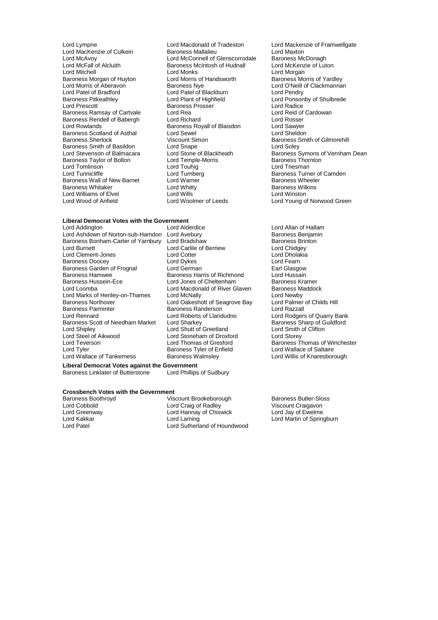Lord McFall of Alcluith Baroness McIntosh of Hudnall<br>
Lord Mitchell Cord Monks Baroness Morgan of Huyton Lord Morris of Lord Morris of Aberavon<br>
Baroness Nye Lord Patel of Bradford<br>
Baroness Pitkeathley<br>
Lord Plant of Highfield Baroness Scotland of Asthal Lord Sewel<br>
Baroness Sherlock Click Consult Simon Baroness Smith of Basildon<br>
Lord Stevenson of Balmacara<br>
Lord Stone of Blackheath Lord Tomlinson<br>
Lord Tunnicliffe 
Lord Turnberg<br>
Lord Turnberg Lord Williams of Elvel **Lord Wills**<br>
Lord Wood of Anfield **Lord Woolmer of Leeds** 

Lord Lympne Lord Macdonald of Tradeston Lord Mackenzie of Framwellgate<br>
Lord MacKenzie of Culkein Baroness Mallalieu<br>
Lord Maxton Lord MacKenzie of Culkein Baroness Mallalieu Lord Maxton<br>
Lord McAvoy Lord McConnell of Glenscorrodale Baroness McDonagh<br>
Lord McFall of Alcluith Baroness McIntosh of Hudnall Lord McKenzie of Lut Lord McConnell of Glenscorrodale Baroness McDonagh<br>Baroness McIntosh of Hudnall Lord McKenzie of Luton Lord Monks<br>
Lord Morris of Handsworth Baroness Morris of Yardlev Lord Morris of Aberavon **Baroness Nye** Lord O'Neill of Clackmannan<br>
Lord Patel of Bradford Lord Patel of Blackburn Lord Pendry Baroness Pitkeathley **Lord Plant of Highfield** Lord Ponsonby of Shulbrede<br>
Lord Prescott **Lord Ponsonby Consoling Ponsonby Consoling Prophetic Pontial Pontial Pontial Prescott** Baroness Prosser **Baroness Prosser** Lord Radice<br>
Lord Rea Baroness Ramsay of Cartvale Lord Rea Lord Rea Lord Reid of Cartvale Lord Reid of Cartvale Lord Rosser Baroness Rendell of Babergh Lord Richard<br>
Lord Rowlands Cord Rosser<br>
Lord Rowlands Cord Sawyer<br>
Baroness Royall of Blaisdon Lord Sawyer Baroness Royall of Blaisdon **Lord Sawyer**<br>
Lord Sewel **Lord Sheldon** Viscount Simon Baroness Smith of Gilmorehill<br>
Lord Snape Baroness Smith of Gilmorehill Baroness Taylor of Bolton Lord Temple-Morris Thornton Baroness Thornton Lord Touhig<br>Cord Touhig Lord Touhig Lord Triesman Lord Turnberg Turner Communications Baroness Turner of Camden<br>
Lord Warner Communications Baroness Wheeler Baroness Wall of New Barnet Lord Warner Communist Charners Wheeler Baroness Wheeler<br>Baroness Whitaker Communist Lord Whitty Charness Wilkins Baroness Whitaker **Example 2 Example 2 Lord Whitty** Cord Whitty<br>
Lord Williams of Elvel **Cord Williams** Lord Wills **Cord Winston** 

### **Liberal Democrat Votes with the Government**

Lord Ashdown of Norton-sub-Hamdon Lord Avebury **Baroness Benjaming Baroness Benjam**<br>Baroness Bonham-Carter of Yarnbury Lord Bradshaw **Baroness Brinton** Baroness Bonham-Carter of Yarnbury Lord Bradshaw Baroness Brinch Baroness Brinks Cord Carlile of Berriew Baroness Brin<br>Lord Burnett Lord Chiddev Lord Clement-Jones Lord Cotter Lord Cotter Lord Dholal<br>
Baroness Doocey Lord Dykes Lord Cotter Lord Fearn Baroness Doocey **Lord Lord Dykes** Lord Even by Lord Fearn<br>
Baroness Garden of Frognal Lord German **Lord Fearn Clasgow** Baroness Garden of Frognal Lord German Lord German Carl Glasgow<br>Baroness Hamwee Baroness Harris of Richmond Lord Hussain Baroness Hamwee The Baroness Harris of Richmond Lord Hussain<br>Baroness Hussein-Ece The Lord Jones of Cheltenham Baroness Kramer Lord Loomba<br>
Lord Macdonald of River Glaven Baroness Maddock<br>
Lord Marks of Henley-on-Thames Lord McNally Cord News Lord Newby Lord Marks of Henley-on-Thames Lord McNally **Lord Seagrove Bay** Lord Newby<br> **Baroness Northover** Lord Oakeshott of Seagrove Bay Lord Palmer of Childs Hill Baroness Northover Lord Oakeshott of Seagrove Bay Lord Palmer<br>Baroness Parminter Baroness Randerson Lord Razzall Baroness Parminter **Baroness Randerson**<br> **Baroness Randerson Lord Roberts of Llandudno** Baroness Scott of Needham Market Lord Sharkey **Baroness Sharp of Guildford Sharkey** Baroness Sharp of Guildinor<br>
Lord Shipley **Baroness Sharp of Guilder** Lord Shipley Lord Shutt of Greetland Lord Smith (Lord Storey Lord Storey Lord Storey Lord Storey Lord Storey Lord Steel of Aikwood Lord Stoneham of Droxford<br>
Lord Teverson Lord Thomas of Gresford Lord Teverson Lord Thomas of Gresford Baroness Thomas of Winchester<br>
Lord Tyler Cord Tyler Saroness Tyler of Enfield Lord Wallace of Saltaire Lord Tyler<br>
Lord Wallace of Tankerness<br>
Baroness Walmslev

Lord Carlile of Berriew Lord Chidgey<br>
Lord Cotter Lord Dholakia Lord Jones of Cheltenham Lord Roberts of Llandudno<br>
Lord Sharkey<br>
Baroness Sharp of Guildford

**Liberal Democrat Votes against the Government** Baroness Linklater of Butterstone

### **Crossbench Votes with the Government**<br>Baroness Boothroyd

Baroness Boothroyd **Baroness Boothroyd** Viscount Brookeborough Baroness Butler-Sloss<br>
Lord Cobbold **Baroness** Lord Craig of Radley Viscount Craigavon Lord Cobbold Lord Craig of Radley Viscount Craigavon Lord Hannay of Chiswick Lord Jay of Ewelme<br>Lord Laming Lord Martin of Spring Lord Kakkar Lord Laming Lord Martin of Springburn Lord Sutherland of Houndwood

Lord Stone of Blackheath Baroness Symons of Vernham Dean<br>
Lord Temple-Morris Baroness Thornton Lord Young of Norwood Green

> Lord Allan of Hallam<br>Baroness Beniamin Lord Willis of Knaresborough